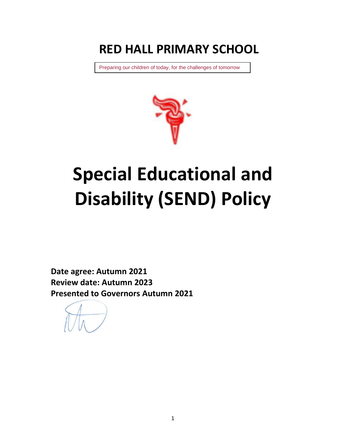# **RED HALL PRIMARY SCHOOL**

Preparing our children of today, for the challenges of tomorrow



# **Special Educational and Disability (SEND) Policy**

**Date agree: Autumn 2021 Review date: Autumn 2023 Presented to Governors Autumn 2021**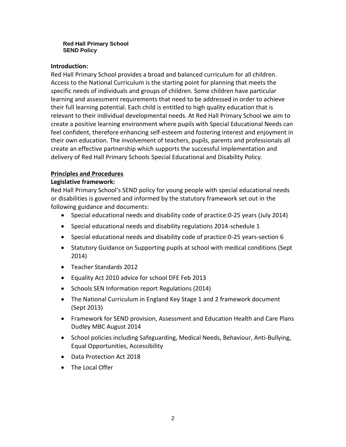#### **Red Hall Primary School SEND Policy**

#### **Introduction:**

Red Hall Primary School provides a broad and balanced curriculum for all children. Access to the National Curriculum is the starting point for planning that meets the specific needs of individuals and groups of children. Some children have particular learning and assessment requirements that need to be addressed in order to achieve their full learning potential. Each child is entitled to high quality education that is relevant to their individual developmental needs. At Red Hall Primary School we aim to create a positive learning environment where pupils with Special Educational Needs can feel confident, therefore enhancing self-esteem and fostering interest and enjoyment in their own education. The involvement of teachers, pupils, parents and professionals all create an effective partnership which supports the successful implementation and delivery of Red Hall Primary Schools Special Educational and Disability Policy.

# **Principles and Procedures**

#### **Legislative framework:**

Red Hall Primary School's SEND policy for young people with special educational needs or disabilities is governed and informed by the statutory framework set out in the following guidance and documents:

- Special educational needs and disability code of practice:0-25 years (July 2014)
- Special educational needs and disability regulations 2014-schedule 1
- Special educational needs and disability code of practice:0-25 years-section 6
- Statutory Guidance on Supporting pupils at school with medical conditions (Sept 2014)
- Teacher Standards 2012
- Equality Act 2010 advice for school DFE Feb 2013
- Schools SEN Information report Regulations (2014)
- The National Curriculum in England Key Stage 1 and 2 framework document (Sept 2013)
- Framework for SEND provision, Assessment and Education Health and Care Plans Dudley MBC August 2014
- School policies including Safeguarding, Medical Needs, Behaviour, Anti-Bullying, Equal Opportunities, Accessibility
- Data Protection Act 2018
- The Local Offer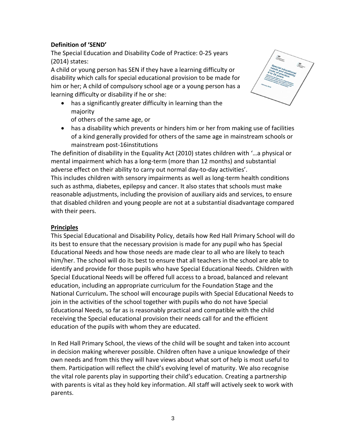# **Definition of 'SEND'**

The Special Education and Disability Code of Practice: 0-25 years (2014) states:

A child or young person has SEN if they have a learning difficulty or disability which calls for special educational provision to be made for him or her; A child of compulsory school age or a young person has a learning difficulty or disability if he or she:

- has a significantly greater difficulty in learning than the majority
	- of others of the same age, or
- has a disability which prevents or hinders him or her from making use of facilities of a kind generally provided for others of the same age in mainstream schools or mainstream post-16institutions

The definition of disability in the Equality Act (2010) states children with '…a physical or mental impairment which has a long-term (more than 12 months) and substantial adverse effect on their ability to carry out normal day-to-day activities'.

This includes children with sensory impairments as well as long-term health conditions such as asthma, diabetes, epilepsy and cancer. It also states that schools must make reasonable adjustments, including the provision of auxiliary aids and services, to ensure that disabled children and young people are not at a substantial disadvantage compared with their peers.

# **Principles**

This Special Educational and Disability Policy, details how Red Hall Primary School will do its best to ensure that the necessary provision is made for any pupil who has Special Educational Needs and how those needs are made clear to all who are likely to teach him/her. The school will do its best to ensure that all teachers in the school are able to identify and provide for those pupils who have Special Educational Needs. Children with Special Educational Needs will be offered full access to a broad, balanced and relevant education, including an appropriate curriculum for the Foundation Stage and the National Curriculum**.** The school will encourage pupils with Special Educational Needs to join in the activities of the school together with pupils who do not have Special Educational Needs, so far as is reasonably practical and compatible with the child receiving the Special educational provision their needs call for and the efficient education of the pupils with whom they are educated.

In Red Hall Primary School, the views of the child will be sought and taken into account in decision making wherever possible. Children often have a unique knowledge of their own needs and from this they will have views about what sort of help is most useful to them. Participation will reflect the child's evolving level of maturity. We also recognise the vital role parents play in supporting their child's education. Creating a partnership with parents is vital as they hold key information. All staff will actively seek to work with parents.

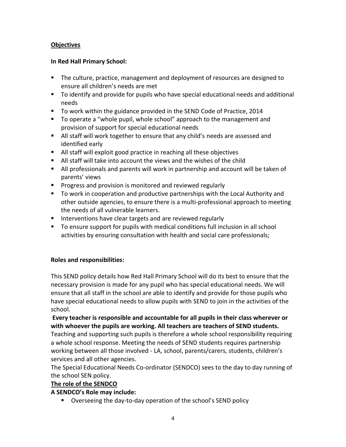# **Objectives**

# **In Red Hall Primary School:**

- The culture, practice, management and deployment of resources are designed to ensure all children's needs are met
- To identify and provide for pupils who have special educational needs and additional needs
- To work within the guidance provided in the SEND Code of Practice, 2014
- To operate a "whole pupil, whole school" approach to the management and provision of support for special educational needs
- **If** All staff will work together to ensure that any child's needs are assessed and identified early
- All staff will exploit good practice in reaching all these objectives
- All staff will take into account the views and the wishes of the child
- All professionals and parents will work in partnership and account will be taken of parents' views
- **Progress and provision is monitored and reviewed regularly**
- To work in cooperation and productive partnerships with the Local Authority and other outside agencies, to ensure there is a multi-professional approach to meeting the needs of all vulnerable learners.
- **IF Interventions have clear targets and are reviewed regularly**
- To ensure support for pupils with medical conditions full inclusion in all school activities by ensuring consultation with health and social care professionals;

# **Roles and responsibilities:**

This SEND policy details how Red Hall Primary School will do its best to ensure that the necessary provision is made for any pupil who has special educational needs. We will ensure that all staff in the school are able to identify and provide for those pupils who have special educational needs to allow pupils with SEND to join in the activities of the school.

**Every teacher is responsible and accountable for all pupils in their class wherever or with whoever the pupils are working. All teachers are teachers of SEND students.** 

Teaching and supporting such pupils is therefore a whole school responsibility requiring a whole school response. Meeting the needs of SEND students requires partnership working between all those involved - LA, school, parents/carers, students, children's services and all other agencies.

The Special Educational Needs Co-ordinator (SENDCO) sees to the day to day running of the school SEN policy.

# **The role of the SENDCO**

# **A SENDCO's Role may include:**

Overseeing the day-to-day operation of the school's SEND policy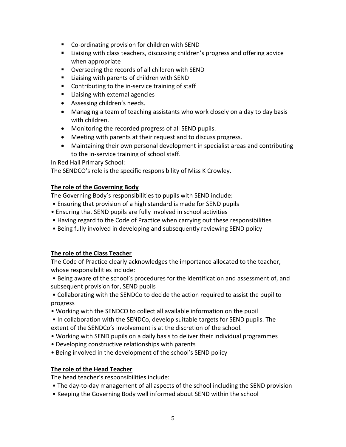- Co-ordinating provision for children with SEND
- Liaising with class teachers, discussing children's progress and offering advice when appropriate
- Overseeing the records of all children with SEND
- Liaising with parents of children with SEND
- Contributing to the in-service training of staff
- **Liaising with external agencies**
- Assessing children's needs.
- Managing a team of teaching assistants who work closely on a day to day basis with children.
- Monitoring the recorded progress of all SEND pupils.
- Meeting with parents at their request and to discuss progress.
- Maintaining their own personal development in specialist areas and contributing to the in-service training of school staff.

In Red Hall Primary School:

The SENDCO's role is the specific responsibility of Miss K Crowley.

# **The role of the Governing Body**

The Governing Body's responsibilities to pupils with SEND include:

- Ensuring that provision of a high standard is made for SEND pupils
- Ensuring that SEND pupils are fully involved in school activities
- Having regard to the Code of Practice when carrying out these responsibilities
- Being fully involved in developing and subsequently reviewing SEND policy

# **The role of the Class Teacher**

The Code of Practice clearly acknowledges the importance allocated to the teacher, whose responsibilities include:

• Being aware of the school's procedures for the identification and assessment of, and subsequent provision for, SEND pupils

• Collaborating with the SENDCo to decide the action required to assist the pupil to progress

- Working with the SENDCO to collect all available information on the pupil
- In collaboration with the SENDCo, develop suitable targets for SEND pupils. The extent of the SENDCo's involvement is at the discretion of the school.
- Working with SEND pupils on a daily basis to deliver their individual programmes
- Developing constructive relationships with parents
- Being involved in the development of the school's SEND policy

# **The role of the Head Teacher**

The head teacher's responsibilities include:

- The day-to-day management of all aspects of the school including the SEND provision
- Keeping the Governing Body well informed about SEND within the school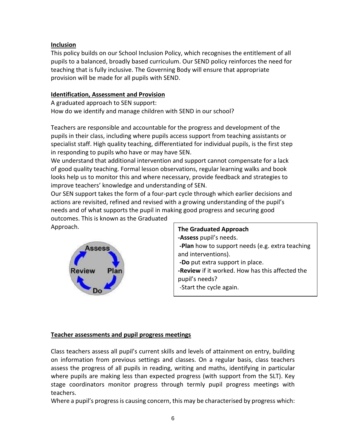# **Inclusion**

This policy builds on our School Inclusion Policy, which recognises the entitlement of all pupils to a balanced, broadly based curriculum. Our SEND policy reinforces the need for teaching that is fully inclusive. The Governing Body will ensure that appropriate provision will be made for all pupils with SEND.

# **Identification, Assessment and Provision**

A graduated approach to SEN support: How do we identify and manage children with SEND in our school?

Teachers are responsible and accountable for the progress and development of the pupils in their class, including where pupils access support from teaching assistants or specialist staff. High quality teaching, differentiated for individual pupils, is the first step in responding to pupils who have or may have SEN.

We understand that additional intervention and support cannot compensate for a lack of good quality teaching. Formal lesson observations, regular learning walks and book looks help us to monitor this and where necessary, provide feedback and strategies to improve teachers' knowledge and understanding of SEN.

Our SEN support takes the form of a four-part cycle through which earlier decisions and actions are revisited, refined and revised with a growing understanding of the pupil's needs and of what supports the pupil in making good progress and securing good

outcomes. This is known as the Graduated Approach.



**The Graduated Approach -Assess** pupil's needs. **-Plan** how to support needs (e.g. extra teaching and interventions). **-Do** put extra support in place. **-Review** if it worked. How has this affected the pupil's needs? -Start the cycle again.

# **Teacher assessments and pupil progress meetings**

Class teachers assess all pupil's current skills and levels of attainment on entry, building on information from previous settings and classes. On a regular basis, class teachers assess the progress of all pupils in reading, writing and maths, identifying in particular where pupils are making less than expected progress (with support from the SLT). Key stage coordinators monitor progress through termly pupil progress meetings with teachers.

Where a pupil's progress is causing concern, this may be characterised by progress which: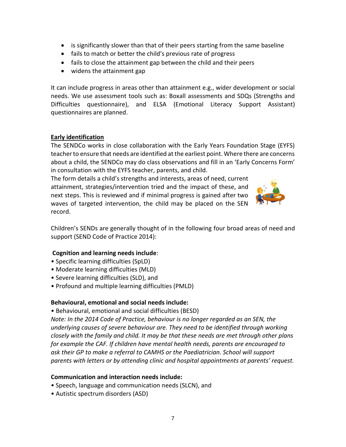- is significantly slower than that of their peers starting from the same baseline
- fails to match or better the child's previous rate of progress
- fails to close the attainment gap between the child and their peers
- widens the attainment gap

It can include progress in areas other than attainment e.g., wider development or social needs. We use assessment tools such as: Boxall assessments and SDQs (Strengths and Difficulties questionnaire), and ELSA (Emotional Literacy Support Assistant) questionnaires are planned.

#### **Early identification**

The SENDCo works in close collaboration with the Early Years Foundation Stage (EYFS) teacher to ensure that needs are identified at the earliest point. Where there are concerns about a child, the SENDCo may do class observations and fill in an 'Early Concerns Form' in consultation with the EYFS teacher, parents, and child.

The form details a child's strengths and interests, areas of need, current attainment, strategies/intervention tried and the impact of these, and next steps. This is reviewed and if minimal progress is gained after two waves of targeted intervention, the child may be placed on the SEN record.



Children's SENDs are generally thought of in the following four broad areas of need and support (SEND Code of Practice 2014):

#### **Cognition and learning needs include**:

- Specific learning difficulties (SpLD)
- Moderate learning difficulties (MLD)
- Severe learning difficulties (SLD), and
- Profound and multiple learning difficulties (PMLD)

#### **Behavioural, emotional and social needs include:**

• Behavioural, emotional and social difficulties (BESD)

*Note: In the 2014 Code of Practice, behaviour is no longer regarded as an SEN, the underlying causes of severe behaviour are. They need to be identified through working closely with the family and child. It may be that these needs are met through other plans for example the CAF. If children have mental health needs, parents are encouraged to ask their GP to make a referral to CAMHS or the Paediatrician. School will support parents with letters or by attending clinic and hospital appointments at parents' request.* 

#### **Communication and interaction needs include:**

- Speech, language and communication needs (SLCN), and
- Autistic spectrum disorders (ASD)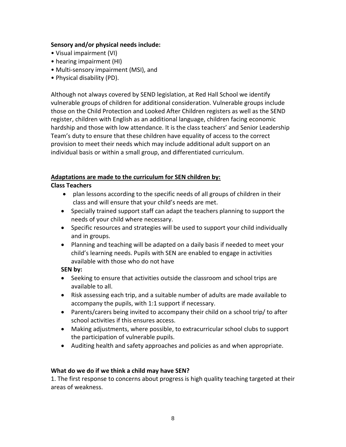# **Sensory and/or physical needs include:**

- Visual impairment (VI)
- hearing impairment (HI)
- Multi-sensory impairment (MSI), and
- Physical disability (PD).

Although not always covered by SEND legislation, at Red Hall School we identify vulnerable groups of children for additional consideration. Vulnerable groups include those on the Child Protection and Looked After Children registers as well as the SEND register, children with English as an additional language, children facing economic hardship and those with low attendance. It is the class teachers' and Senior Leadership Team's duty to ensure that these children have equality of access to the correct provision to meet their needs which may include additional adult support on an individual basis or within a small group, and differentiated curriculum.

# **Adaptations are made to the curriculum for SEN children by:**

# **Class Teachers**

- plan lessons according to the specific needs of all groups of children in their class and will ensure that your child's needs are met.
- Specially trained support staff can adapt the teachers planning to support the needs of your child where necessary.
- Specific resources and strategies will be used to support your child individually and in groups.
- Planning and teaching will be adapted on a daily basis if needed to meet your child's learning needs. Pupils with SEN are enabled to engage in activities available with those who do not have

# **SEN by:**

- Seeking to ensure that activities outside the classroom and school trips are available to all.
- Risk assessing each trip, and a suitable number of adults are made available to accompany the pupils, with 1:1 support if necessary.
- Parents/carers being invited to accompany their child on a school trip/ to after school activities if this ensures access.
- Making adjustments, where possible, to extracurricular school clubs to support the participation of vulnerable pupils.
- Auditing health and safety approaches and policies as and when appropriate.

# **What do we do if we think a child may have SEN?**

1. The first response to concerns about progress is high quality teaching targeted at their areas of weakness.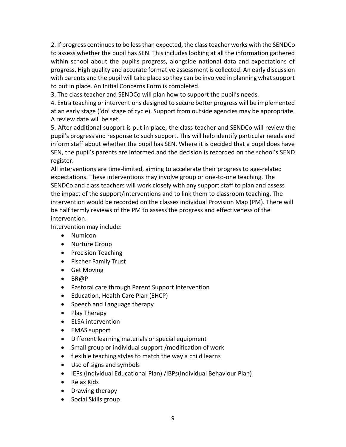2. If progress continues to be less than expected, the class teacher works with the SENDCo to assess whether the pupil has SEN. This includes looking at all the information gathered within school about the pupil's progress, alongside national data and expectations of progress. High quality and accurate formative assessment is collected. An early discussion with parents and the pupil will take place so they can be involved in planning what support to put in place. An Initial Concerns Form is completed.

3. The class teacher and SENDCo will plan how to support the pupil's needs.

4. Extra teaching or interventions designed to secure better progress will be implemented at an early stage ('do' stage of cycle). Support from outside agencies may be appropriate. A review date will be set.

5. After additional support is put in place, the class teacher and SENDCo will review the pupil's progress and response to such support. This will help identify particular needs and inform staff about whether the pupil has SEN. Where it is decided that a pupil does have SEN, the pupil's parents are informed and the decision is recorded on the school's SEND register.

All interventions are time-limited, aiming to accelerate their progress to age-related expectations. These interventions may involve group or one-to-one teaching. The SENDCo and class teachers will work closely with any support staff to plan and assess the impact of the support/interventions and to link them to classroom teaching. The intervention would be recorded on the classes individual Provision Map (PM). There will be half termly reviews of the PM to assess the progress and effectiveness of the intervention.

Intervention may include:

- Numicon
- Nurture Group
- Precision Teaching
- Fischer Family Trust
- **•** Get Moving
- $-BR@P$
- Pastoral care through Parent Support Intervention
- Education, Health Care Plan (EHCP)
- Speech and Language therapy
- Play Therapy
- ELSA intervention
- EMAS support
- Different learning materials or special equipment
- Small group or individual support /modification of work
- flexible teaching styles to match the way a child learns
- Use of signs and symbols
- IEPs (Individual Educational Plan) /IBPs(Individual Behaviour Plan)
- Relax Kids
- Drawing therapy
- Social Skills group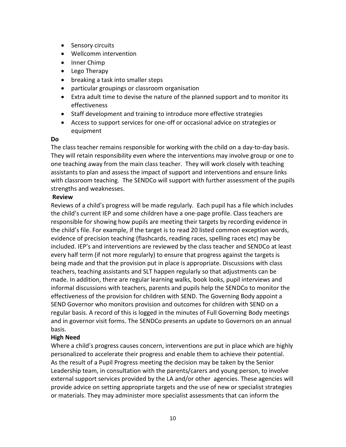- Sensory circuits
- Wellcomm intervention
- Inner Chimp
- Lego Therapy
- breaking a task into smaller steps
- particular groupings or classroom organisation
- Extra adult time to devise the nature of the planned support and to monitor its effectiveness
- Staff development and training to introduce more effective strategies
- Access to support services for one-off or occasional advice on strategies or equipment

#### **Do**

The class teacher remains responsible for working with the child on a day-to-day basis. They will retain responsibility even where the interventions may involve group or one to one teaching away from the main class teacher. They will work closely with teaching assistants to plan and assess the impact of support and interventions and ensure links with classroom teaching. The SENDCo will support with further assessment of the pupils strengths and weaknesses.

#### **Review**

Reviews of a child's progress will be made regularly. Each pupil has a file which includes the child's current IEP and some children have a one-page profile. Class teachers are responsible for showing how pupils are meeting their targets by recording evidence in the child's file. For example, if the target is to read 20 listed common exception words, evidence of precision teaching (flashcards, reading races, spelling races etc) may be included. IEP's and interventions are reviewed by the class teacher and SENDCo at least every half term (if not more regularly) to ensure that progress against the targets is being made and that the provision put in place is appropriate. Discussions with class teachers, teaching assistants and SLT happen regularly so that adjustments can be made. In addition, there are regular learning walks, book looks, pupil interviews and informal discussions with teachers, parents and pupils help the SENDCo to monitor the effectiveness of the provision for children with SEND. The Governing Body appoint a SEND Governor who monitors provision and outcomes for children with SEND on a regular basis. A record of this is logged in the minutes of Full Governing Body meetings and in governor visit forms. The SENDCo presents an update to Governors on an annual basis.

#### **High Need**

Where a child's progress causes concern, interventions are put in place which are highly personalized to accelerate their progress and enable them to achieve their potential. As the result of a Pupil Progress meeting the decision may be taken by the Senior Leadership team, in consultation with the parents/carers and young person, to involve external support services provided by the LA and/or other agencies. These agencies will provide advice on setting appropriate targets and the use of new or specialist strategies or materials. They may administer more specialist assessments that can inform the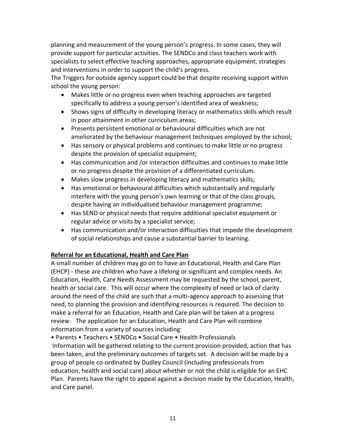planning and measurement of the young person's progress. In some cases, they will provide support for particular activities. The SENDCo and class teachers work with specialists to select effective teaching approaches, appropriate equipment, strategies and interventions in order to support the child's progress.

The Triggers for outside agency support could be that despite receiving support within school the young person:

- Makes little or no progress even when teaching approaches are targeted specifically to address a young person's identified area of weakness;
- Shows signs of difficulty in developing literacy or mathematics skills which result in poor attainment in other curriculum areas;
- Presents persistent emotional or behavioural difficulties which are not ameliorated by the behaviour management techniques employed by the school;
- Has sensory or physical problems and continues to make little or no progress despite the provision of specialist equipment;
- Has communication and /or interaction difficulties and continues to make little or no progress despite the provision of a differentiated curriculum.
- Makes slow progress in developing literacy and mathematics skills;
- Has emotional or behavioural difficulties which substantially and regularly interfere with the young person's own learning or that of the class groups, despite having an individualised behaviour management programme;
- Has SEND or physical needs that require additional specialist equipment or regular advice or visits by a specialist service;
- Has communication and/or interaction difficulties that impede the development of social relationships and cause a substantial barrier to learning.

# **Referral for an Educational, Health and Care Plan**

A small number of children may go on to have an Educational, Health and Care Plan (EHCP) - these are children who have a lifelong or significant and complex needs. An Education, Health, Care Needs Assessment may be requested by the school, parent, health or social care. This will occur where the complexity of need or lack of clarity around the need of the child are such that a multi-agency approach to assessing that need, to planning the provision and identifying resources is required. The decision to make a referral for an Education, Health and Care plan will be taken at a progress review. The application for an Education, Health and Care Plan will combine information from a variety of sources including:

• Parents • Teachers • SENDCo • Social Care • Health Professionals Information will be gathered relating to the current provision provided, action that has been taken, and the preliminary outcomes of targets set. A decision will be made by a group of people co-ordinated by Dudley Council (including professionals from education, health and social care) about whether or not the child is eligible for an EHC Plan. Parents have the right to appeal against a decision made by the Education, Health, and Care panel.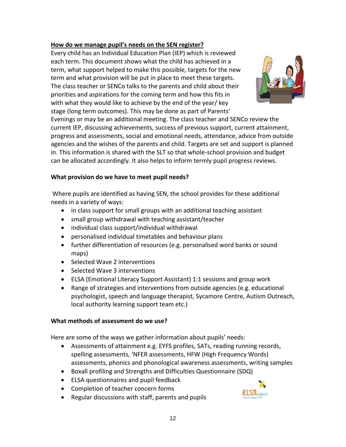# **How do we manage pupil's needs on the SEN register?**

Every child has an Individual Education Plan (IEP) which is reviewed each term. This document shows what the child has achieved in a term, what support helped to make this possible, targets for the new term and what provision will be put in place to meet these targets. The class teacher or SENCo talks to the parents and child about their priorities and aspirations for the coming term and how this fits in with what they would like to achieve by the end of the year/ key stage (long term outcomes). This may be done as part of Parents'



Evenings or may be an additional meeting. The class teacher and SENCo review the current IEP, discussing achievements, success of previous support, current attainment, progress and assessments, social and emotional needs, attendance, advice from outside agencies and the wishes of the parents and child. Targets are set and support is planned in. This information is shared with the SLT so that whole-school provision and budget can be allocated accordingly. It also helps to inform termly pupil progress reviews.

# **What provision do we have to meet pupil needs?**

Where pupils are identified as having SEN, the school provides for these additional needs in a variety of ways:

- in class support for small groups with an additional teaching assistant
- small group withdrawal with teaching assistant/teacher
- individual class support/individual withdrawal
- personalised individual timetables and behaviour plans
- further differentiation of resources (e.g. personalised word banks or sound maps)
- Selected Wave 2 interventions
- Selected Wave 3 interventions
- ELSA (Emotional Literacy Support Assistant) 1:1 sessions and group work
- Range of strategies and interventions from outside agencies (e.g. educational psychologist, speech and language therapist, Sycamore Centre, Autism Outreach, local authority learning support team etc.)

# **What methods of assessment do we use?**

Here are some of the ways we gather information about pupils' needs:

- Assessments of attainment e.g. EYFS profiles, SATs, reading running records, spelling assessments, 'NFER assessments, HFW (High Frequency Words) assessments, phonics and phonological awareness assessments, writing samples
- Boxall profiling and Strengths and Difficulties Questionnaire (SDQ)
- ELSA questionnaires and pupil feedback
- Completion of teacher concern forms
- Regular discussions with staff, parents and pupils

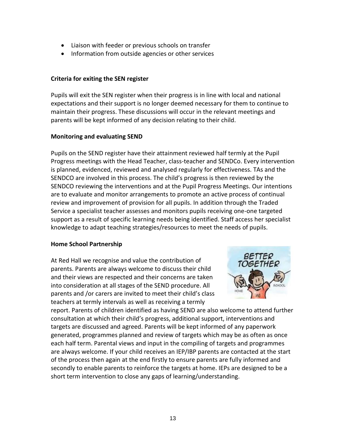- Liaison with feeder or previous schools on transfer
- Information from outside agencies or other services

# **Criteria for exiting the SEN register**

Pupils will exit the SEN register when their progress is in line with local and national expectations and their support is no longer deemed necessary for them to continue to maintain their progress. These discussions will occur in the relevant meetings and parents will be kept informed of any decision relating to their child.

# **Monitoring and evaluating SEND**

Pupils on the SEND register have their attainment reviewed half termly at the Pupil Progress meetings with the Head Teacher, class-teacher and SENDCo. Every intervention is planned, evidenced, reviewed and analysed regularly for effectiveness. TAs and the SENDCO are involved in this process. The child's progress is then reviewed by the SENDCO reviewing the interventions and at the Pupil Progress Meetings. Our intentions are to evaluate and monitor arrangements to promote an active process of continual review and improvement of provision for all pupils. In addition through the Traded Service a specialist teacher assesses and monitors pupils receiving one-one targeted support as a result of specific learning needs being identified. Staff access her specialist knowledge to adapt teaching strategies/resources to meet the needs of pupils.

#### **Home School Partnership**

At Red Hall we recognise and value the contribution of parents. Parents are always welcome to discuss their child and their views are respected and their concerns are taken into consideration at all stages of the SEND procedure. All parents and /or carers are invited to meet their child's class teachers at termly intervals as well as receiving a termly



report. Parents of children identified as having SEND are also welcome to attend further consultation at which their child's progress, additional support, interventions and targets are discussed and agreed. Parents will be kept informed of any paperwork generated, programmes planned and review of targets which may be as often as once each half term. Parental views and input in the compiling of targets and programmes are always welcome. If your child receives an IEP/IBP parents are contacted at the start of the process then again at the end firstly to ensure parents are fully informed and secondly to enable parents to reinforce the targets at home. IEPs are designed to be a short term intervention to close any gaps of learning/understanding.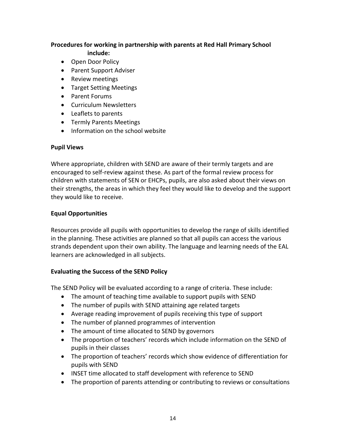#### **Procedures for working in partnership with parents at Red Hall Primary School include:**

- Open Door Policy
- Parent Support Adviser
- Review meetings
- Target Setting Meetings
- Parent Forums
- Curriculum Newsletters
- Leaflets to parents
- **•** Termly Parents Meetings
- Information on the school website

# **Pupil Views**

Where appropriate, children with SEND are aware of their termly targets and are encouraged to self-review against these. As part of the formal review process for children with statements of SEN or EHCPs, pupils, are also asked about their views on their strengths, the areas in which they feel they would like to develop and the support they would like to receive.

# **Equal Opportunities**

Resources provide all pupils with opportunities to develop the range of skills identified in the planning. These activities are planned so that all pupils can access the various strands dependent upon their own ability. The language and learning needs of the EAL learners are acknowledged in all subjects.

# **Evaluating the Success of the SEND Policy**

The SEND Policy will be evaluated according to a range of criteria. These include:

- The amount of teaching time available to support pupils with SEND
- The number of pupils with SEND attaining age related targets
- Average reading improvement of pupils receiving this type of support
- The number of planned programmes of intervention
- The amount of time allocated to SEND by governors
- The proportion of teachers' records which include information on the SEND of pupils in their classes
- The proportion of teachers' records which show evidence of differentiation for pupils with SEND
- INSET time allocated to staff development with reference to SEND
- The proportion of parents attending or contributing to reviews or consultations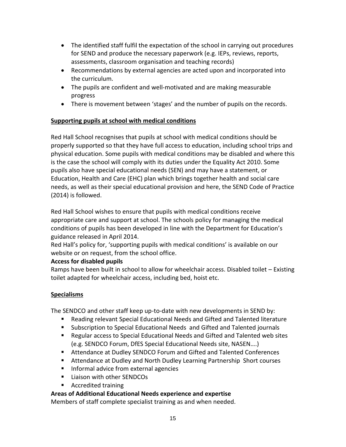- The identified staff fulfil the expectation of the school in carrying out procedures for SEND and produce the necessary paperwork (e.g. IEPs, reviews, reports, assessments, classroom organisation and teaching records)
- Recommendations by external agencies are acted upon and incorporated into the curriculum.
- The pupils are confident and well-motivated and are making measurable progress
- There is movement between 'stages' and the number of pupils on the records.

# **Supporting pupils at school with medical conditions**

Red Hall School recognises that pupils at school with medical conditions should be properly supported so that they have full access to education, including school trips and physical education. Some pupils with medical conditions may be disabled and where this is the case the school will comply with its duties under the Equality Act 2010. Some pupils also have special educational needs (SEN) and may have a statement, or Education, Health and Care (EHC) plan which brings together health and social care needs, as well as their special educational provision and here, the SEND Code of Practice (2014) is followed.

Red Hall School wishes to ensure that pupils with medical conditions receive appropriate care and support at school. The schools policy for managing the medical conditions of pupils has been developed in line with the Department for Education's guidance released in April 2014.

Red Hall's policy for, 'supporting pupils with medical conditions' is available on our website or on request, from the school office.

# **Access for disabled pupils**

Ramps have been built in school to allow for wheelchair access. Disabled toilet – Existing toilet adapted for wheelchair access, including bed, hoist etc.

# **Specialisms**

The SENDCO and other staff keep up-to-date with new developments in SEND by:

- Reading relevant Special Educational Needs and Gifted and Talented literature
- Subscription to Special Educational Needs and Gifted and Talented journals
- Regular access to Special Educational Needs and Gifted and Talented web sites (e.g. SENDCO Forum, DfES Special Educational Needs site, NASEN….)
- Attendance at Dudley SENDCO Forum and Gifted and Talented Conferences
- Attendance at Dudley and North Dudley Learning Partnership Short courses
- **Informal advice from external agencies**
- Liaison with other SENDCOs
- Accredited training

# **Areas of Additional Educational Needs experience and expertise**

Members of staff complete specialist training as and when needed.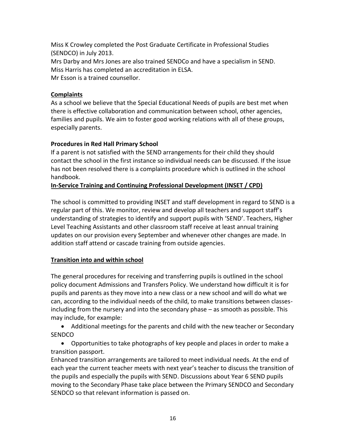Miss K Crowley completed the Post Graduate Certificate in Professional Studies (SENDCO) in July 2013. Mrs Darby and Mrs Jones are also trained SENDCo and have a specialism in SEND. Miss Harris has completed an accreditation in ELSA. Mr Esson is a trained counsellor.

# **Complaints**

As a school we believe that the Special Educational Needs of pupils are best met when there is effective collaboration and communication between school, other agencies, families and pupils. We aim to foster good working relations with all of these groups, especially parents.

# **Procedures in Red Hall Primary School**

If a parent is not satisfied with the SEND arrangements for their child they should contact the school in the first instance so individual needs can be discussed. If the issue has not been resolved there is a complaints procedure which is outlined in the school handbook.

# **In-Service Training and Continuing Professional Development (INSET / CPD)**

The school is committed to providing INSET and staff development in regard to SEND is a regular part of this. We monitor, review and develop all teachers and support staff's understanding of strategies to identify and support pupils with 'SEND'. Teachers, Higher Level Teaching Assistants and other classroom staff receive at least annual training updates on our provision every September and whenever other changes are made. In addition staff attend or cascade training from outside agencies.

# **Transition into and within school**

The general procedures for receiving and transferring pupils is outlined in the school policy document Admissions and Transfers Policy. We understand how difficult it is for pupils and parents as they move into a new class or a new school and will do what we can, according to the individual needs of the child, to make transitions between classesincluding from the nursery and into the secondary phase – as smooth as possible. This may include, for example:

 Additional meetings for the parents and child with the new teacher or Secondary **SENDCO** 

 Opportunities to take photographs of key people and places in order to make a transition passport.

Enhanced transition arrangements are tailored to meet individual needs. At the end of each year the current teacher meets with next year's teacher to discuss the transition of the pupils and especially the pupils with SEND. Discussions about Year 6 SEND pupils moving to the Secondary Phase take place between the Primary SENDCO and Secondary SENDCO so that relevant information is passed on.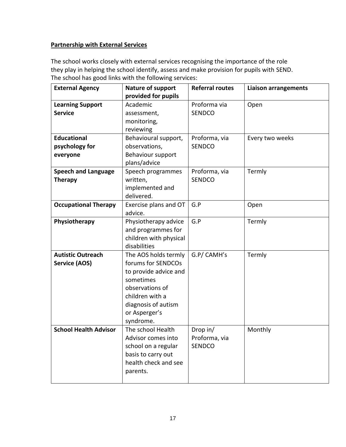# **Partnership with External Services**

The school works closely with external services recognising the importance of the role they play in helping the school identify, assess and make provision for pupils with SEND. The school has good links with the following services:

| <b>External Agency</b>       | Nature of support      | <b>Referral routes</b> | <b>Liaison arrangements</b> |
|------------------------------|------------------------|------------------------|-----------------------------|
|                              | provided for pupils    |                        |                             |
| <b>Learning Support</b>      | Academic               | Proforma via           | Open                        |
| <b>Service</b>               | assessment,            | <b>SENDCO</b>          |                             |
|                              | monitoring,            |                        |                             |
|                              | reviewing              |                        |                             |
| <b>Educational</b>           | Behavioural support,   | Proforma, via          | Every two weeks             |
| psychology for               | observations,          | <b>SENDCO</b>          |                             |
| everyone                     | Behaviour support      |                        |                             |
|                              | plans/advice           |                        |                             |
| <b>Speech and Language</b>   | Speech programmes      | Proforma, via          | Termly                      |
| <b>Therapy</b>               | written,               | <b>SENDCO</b>          |                             |
|                              | implemented and        |                        |                             |
|                              | delivered.             |                        |                             |
| <b>Occupational Therapy</b>  | Exercise plans and OT  | G.P                    | Open                        |
|                              | advice.                |                        |                             |
| Physiotherapy                | Physiotherapy advice   | G.P                    | Termly                      |
|                              | and programmes for     |                        |                             |
|                              | children with physical |                        |                             |
|                              | disabilities           |                        |                             |
| <b>Autistic Outreach</b>     | The AOS holds termly   | G.P/ CAMH's            | Termly                      |
| <b>Service (AOS)</b>         | forums for SENDCOs     |                        |                             |
|                              | to provide advice and  |                        |                             |
|                              | sometimes              |                        |                             |
|                              | observations of        |                        |                             |
|                              | children with a        |                        |                             |
|                              | diagnosis of autism    |                        |                             |
|                              | or Asperger's          |                        |                             |
|                              | syndrome.              |                        |                             |
| <b>School Health Advisor</b> | The school Health      | Drop in/               | Monthly                     |
|                              | Advisor comes into     | Proforma, via          |                             |
|                              | school on a regular    | <b>SENDCO</b>          |                             |
|                              | basis to carry out     |                        |                             |
|                              | health check and see   |                        |                             |
|                              | parents.               |                        |                             |
|                              |                        |                        |                             |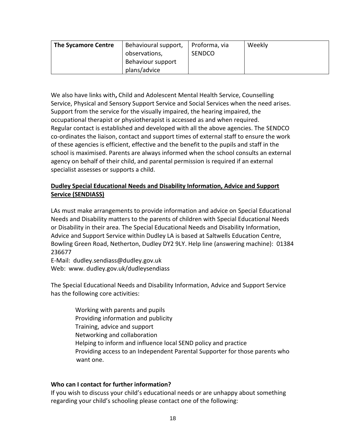| <b>The Sycamore Centre</b> | Behavioural support, | Proforma, via | Weekly |
|----------------------------|----------------------|---------------|--------|
|                            | observations,        | <b>SENDCO</b> |        |
|                            | Behaviour support    |               |        |
|                            | plans/advice         |               |        |

We also have links with**,** Child and Adolescent Mental Health Service, Counselling Service, Physical and Sensory Support Service and Social Services when the need arises. Support from the service for the visually impaired, the hearing impaired, the occupational therapist or physiotherapist is accessed as and when required. Regular contact is established and developed with all the above agencies. The SENDCO co-ordinates the liaison, contact and support times of external staff to ensure the work of these agencies is efficient, effective and the benefit to the pupils and staff in the school is maximised. Parents are always informed when the school consults an external agency on behalf of their child, and parental permission is required if an external specialist assesses or supports a child.

# **Dudley Special Educational Needs and Disability Information, Advice and Support Service (SENDIASS)**

LAs must make arrangements to provide information and advice on Special Educational Needs and Disability matters to the parents of children with Special Educational Needs or Disability in their area. The Special Educational Needs and Disability Information, Advice and Support Service within Dudley LA is based at Saltwells Education Centre, Bowling Green Road, Netherton, Dudley DY2 9LY. Help line (answering machine): 01384 236677

E-Mail: dudley.sendiass@dudley.gov.uk Web: www. dudley.gov.uk/dudleysendiass

The Special Educational Needs and Disability Information, Advice and Support Service has the following core activities:

> Working with parents and pupils Providing information and publicity Training, advice and support Networking and collaboration Helping to inform and influence local SEND policy and practice Providing access to an Independent Parental Supporter for those parents who want one.

# **Who can I contact for further information?**

If you wish to discuss your child's educational needs or are unhappy about something regarding your child's schooling please contact one of the following: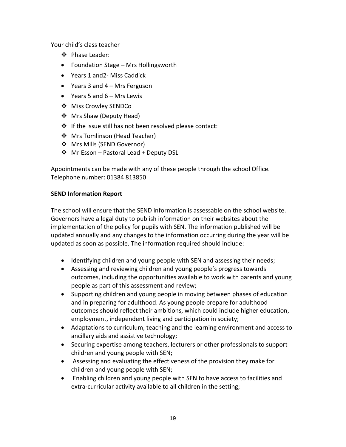Your child's class teacher

- ❖ Phase Leader:
- Foundation Stage Mrs Hollingsworth
- Years 1 and2- Miss Caddick
- Years 3 and 4 Mrs Ferguson
- $\bullet$  Years 5 and 6 Mrs Lewis
- ❖ Miss Crowley SENDCo
- ❖ Mrs Shaw (Deputy Head)
- ❖ If the issue still has not been resolved please contact:
- ❖ Mrs Tomlinson (Head Teacher)
- ❖ Mrs Mills (SEND Governor)
- $\div$  Mr Esson Pastoral Lead + Deputy DSL

Appointments can be made with any of these people through the school Office. Telephone number: 01384 813850

# **SEND Information Report**

The school will ensure that the SEND information is assessable on the school website. Governors have a legal duty to publish information on their websites about the implementation of the policy for pupils with SEN. The information published will be updated annually and any changes to the information occurring during the year will be updated as soon as possible. The information required should include:

- Identifying children and young people with SEN and assessing their needs;
- Assessing and reviewing children and young people's progress towards outcomes, including the opportunities available to work with parents and young people as part of this assessment and review;
- Supporting children and young people in moving between phases of education and in preparing for adulthood. As young people prepare for adulthood outcomes should reflect their ambitions, which could include higher education, employment, independent living and participation in society;
- Adaptations to curriculum, teaching and the learning environment and access to ancillary aids and assistive technology;
- Securing expertise among teachers, lecturers or other professionals to support children and young people with SEN;
- Assessing and evaluating the effectiveness of the provision they make for children and young people with SEN;
- Enabling children and young people with SEN to have access to facilities and extra-curricular activity available to all children in the setting;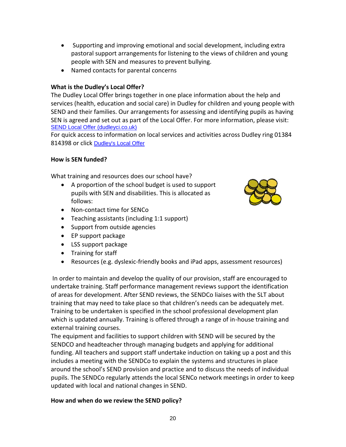- Supporting and improving emotional and social development, including extra pastoral support arrangements for listening to the views of children and young people with SEN and measures to prevent bullying.
- Named contacts for parental concerns

# **What is the Dudley's Local Offer?**

The Dudley Local Offer brings together in one place information about the help and services (health, education and social care) in Dudley for children and young people with SEND and their families. Our arrangements for assessing and identifying pupils as having SEN is agreed and set out as part of the Local Offer. For more information, please visit: [SEND Local Offer \(dudleyci.co.uk\)](https://dudleyci.co.uk/send-local-offer)

For quick access to information on local services and activities across Dudley ring 01384 814398 or click [Dudley's Local Offer](https://www.dudley.gov.uk/resident/localoffer/)

# **How is SEN funded?**

What training and resources does our school have?

- A proportion of the school budget is used to support pupils with SEN and disabilities. This is allocated as follows:
- Non-contact time for SENCo
- Teaching assistants (including 1:1 support)
- Support from outside agencies
- EP support package
- LSS support package
- Training for staff
- Resources (e.g. dyslexic-friendly books and iPad apps, assessment resources)

In order to maintain and develop the quality of our provision, staff are encouraged to undertake training. Staff performance management reviews support the identification of areas for development. After SEND reviews, the SENDCo liaises with the SLT about training that may need to take place so that children's needs can be adequately met. Training to be undertaken is specified in the school professional development plan which is updated annually. Training is offered through a range of in-house training and external training courses.

The equipment and facilities to support children with SEND will be secured by the SENDCO and headteacher through managing budgets and applying for additional funding. All teachers and support staff undertake induction on taking up a post and this includes a meeting with the SENDCo to explain the systems and structures in place around the school's SEND provision and practice and to discuss the needs of individual pupils. The SENDCo regularly attends the local SENCo network meetings in order to keep updated with local and national changes in SEND.

# **How and when do we review the SEND policy?**